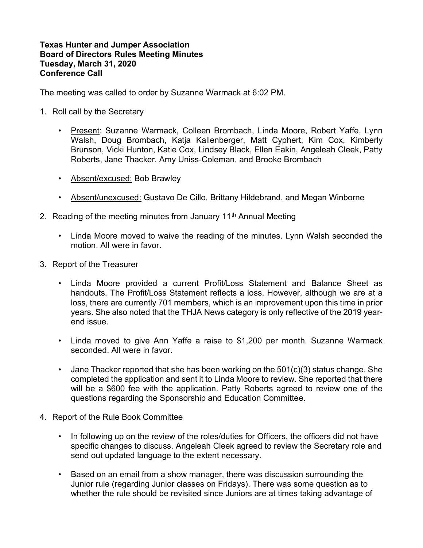## Texas Hunter and Jumper Association Board of Directors Rules Meeting Minutes Tuesday, March 31, 2020 Conference Call

The meeting was called to order by Suzanne Warmack at 6:02 PM.

- 1. Roll call by the Secretary
	- Present: Suzanne Warmack, Colleen Brombach, Linda Moore, Robert Yaffe, Lynn Walsh, Doug Brombach, Katja Kallenberger, Matt Cyphert, Kim Cox, Kimberly Brunson, Vicki Hunton, Katie Cox, Lindsey Black, Ellen Eakin, Angeleah Cleek, Patty Roberts, Jane Thacker, Amy Uniss-Coleman, and Brooke Brombach
	- Absent/excused: Bob Brawley
	- Absent/unexcused: Gustavo De Cillo, Brittany Hildebrand, and Megan Winborne
- 2. Reading of the meeting minutes from January  $11<sup>th</sup>$  Annual Meeting
	- Linda Moore moved to waive the reading of the minutes. Lynn Walsh seconded the motion. All were in favor.
- 3. Report of the Treasurer
	- Linda Moore provided a current Profit/Loss Statement and Balance Sheet as handouts. The Profit/Loss Statement reflects a loss. However, although we are at a loss, there are currently 701 members, which is an improvement upon this time in prior years. She also noted that the THJA News category is only reflective of the 2019 yearend issue.
	- Linda moved to give Ann Yaffe a raise to \$1,200 per month. Suzanne Warmack seconded. All were in favor.
	- Jane Thacker reported that she has been working on the  $501(c)(3)$  status change. She completed the application and sent it to Linda Moore to review. She reported that there will be a \$600 fee with the application. Patty Roberts agreed to review one of the questions regarding the Sponsorship and Education Committee.
- 4. Report of the Rule Book Committee
	- In following up on the review of the roles/duties for Officers, the officers did not have specific changes to discuss. Angeleah Cleek agreed to review the Secretary role and send out updated language to the extent necessary.
	- Based on an email from a show manager, there was discussion surrounding the Junior rule (regarding Junior classes on Fridays). There was some question as to whether the rule should be revisited since Juniors are at times taking advantage of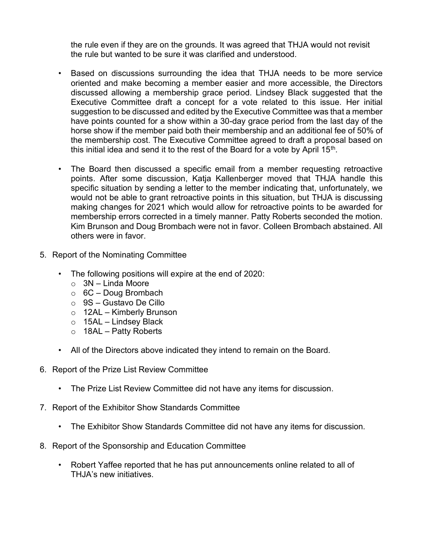the rule even if they are on the grounds. It was agreed that THJA would not revisit the rule but wanted to be sure it was clarified and understood.

- Based on discussions surrounding the idea that THJA needs to be more service oriented and make becoming a member easier and more accessible, the Directors discussed allowing a membership grace period. Lindsey Black suggested that the Executive Committee draft a concept for a vote related to this issue. Her initial suggestion to be discussed and edited by the Executive Committee was that a member have points counted for a show within a 30-day grace period from the last day of the horse show if the member paid both their membership and an additional fee of 50% of the membership cost. The Executive Committee agreed to draft a proposal based on this initial idea and send it to the rest of the Board for a vote by April 15<sup>th</sup>.
- The Board then discussed a specific email from a member requesting retroactive points. After some discussion, Katja Kallenberger moved that THJA handle this specific situation by sending a letter to the member indicating that, unfortunately, we would not be able to grant retroactive points in this situation, but THJA is discussing making changes for 2021 which would allow for retroactive points to be awarded for membership errors corrected in a timely manner. Patty Roberts seconded the motion. Kim Brunson and Doug Brombach were not in favor. Colleen Brombach abstained. All others were in favor.
- 5. Report of the Nominating Committee
	- The following positions will expire at the end of 2020:
		- o 3N Linda Moore
		- $\circ$  6C Doug Brombach
		- o 9S Gustavo De Cillo
		- o 12AL Kimberly Brunson
		- $\circ$  15AL Lindsey Black
		- $\circ$  18AL Patty Roberts
	- All of the Directors above indicated they intend to remain on the Board.
- 6. Report of the Prize List Review Committee
	- The Prize List Review Committee did not have any items for discussion.
- 7. Report of the Exhibitor Show Standards Committee
	- The Exhibitor Show Standards Committee did not have any items for discussion.
- 8. Report of the Sponsorship and Education Committee
	- Robert Yaffee reported that he has put announcements online related to all of THJA's new initiatives.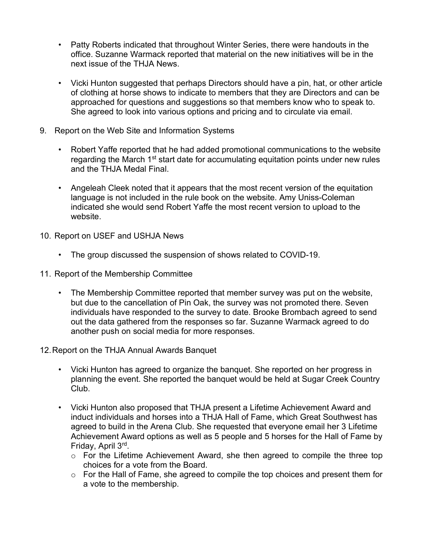- Patty Roberts indicated that throughout Winter Series, there were handouts in the office. Suzanne Warmack reported that material on the new initiatives will be in the next issue of the THJA News.
- Vicki Hunton suggested that perhaps Directors should have a pin, hat, or other article of clothing at horse shows to indicate to members that they are Directors and can be approached for questions and suggestions so that members know who to speak to. She agreed to look into various options and pricing and to circulate via email.
- 9. Report on the Web Site and Information Systems
	- Robert Yaffe reported that he had added promotional communications to the website regarding the March  $1<sup>st</sup>$  start date for accumulating equitation points under new rules and the THJA Medal Final.
	- Angeleah Cleek noted that it appears that the most recent version of the equitation language is not included in the rule book on the website. Amy Uniss-Coleman indicated she would send Robert Yaffe the most recent version to upload to the website.
- 10. Report on USEF and USHJA News
	- The group discussed the suspension of shows related to COVID-19.
- 11. Report of the Membership Committee
	- The Membership Committee reported that member survey was put on the website, but due to the cancellation of Pin Oak, the survey was not promoted there. Seven individuals have responded to the survey to date. Brooke Brombach agreed to send out the data gathered from the responses so far. Suzanne Warmack agreed to do another push on social media for more responses.
- 12. Report on the THJA Annual Awards Banquet
	- Vicki Hunton has agreed to organize the banquet. She reported on her progress in planning the event. She reported the banquet would be held at Sugar Creek Country Club.
	- Vicki Hunton also proposed that THJA present a Lifetime Achievement Award and induct individuals and horses into a THJA Hall of Fame, which Great Southwest has agreed to build in the Arena Club. She requested that everyone email her 3 Lifetime Achievement Award options as well as 5 people and 5 horses for the Hall of Fame by Friday, April 3rd .
		- o For the Lifetime Achievement Award, she then agreed to compile the three top choices for a vote from the Board.
		- o For the Hall of Fame, she agreed to compile the top choices and present them for a vote to the membership.